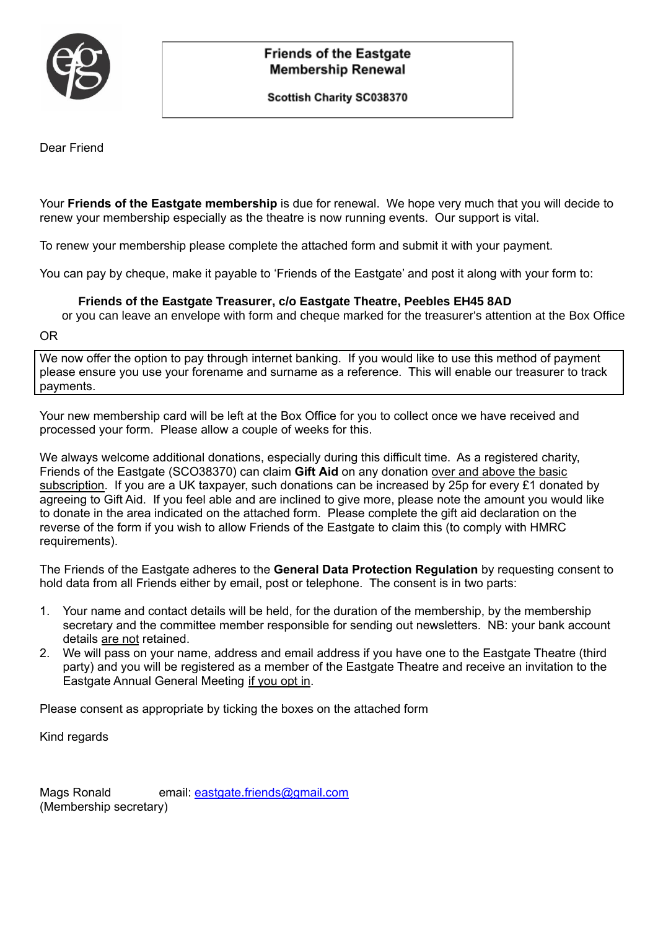

## **Friends of the Eastgate Membership Renewal**

Scottish Charity SC038370

Dear Friend

Your **Friends of the Eastgate membership** is due for renewal. We hope very much that you will decide to renew your membership especially as the theatre is now running events. Our support is vital.

To renew your membership please complete the attached form and submit it with your payment.

You can pay by cheque, make it payable to 'Friends of the Eastgate' and post it along with your form to:

#### **Friends of the Eastgate Treasurer, c/o Eastgate Theatre, Peebles EH45 8AD**

or you can leave an envelope with form and cheque marked for the treasurer's attention at the Box Office

OR

We now offer the option to pay through internet banking. If you would like to use this method of payment please ensure you use your forename and surname as a reference. This will enable our treasurer to track payments.

Your new membership card will be left at the Box Office for you to collect once we have received and processed your form. Please allow a couple of weeks for this.

We always welcome additional donations, especially during this difficult time. As a registered charity, Friends of the Eastgate (SCO38370) can claim **Gift Aid** on any donation over and above the basic subscription. If you are a UK taxpayer, such donations can be increased by 25p for every £1 donated by agreeing to Gift Aid. If you feel able and are inclined to give more, please note the amount you would like to donate in the area indicated on the attached form. Please complete the gift aid declaration on the reverse of the form if you wish to allow Friends of the Eastgate to claim this (to comply with HMRC requirements).

The Friends of the Eastgate adheres to the **General Data Protection Regulation** by requesting consent to hold data from all Friends either by email, post or telephone. The consent is in two parts:

- 1. Your name and contact details will be held, for the duration of the membership, by the membership secretary and the committee member responsible for sending out newsletters. NB: your bank account details are not retained.
- 2. We will pass on your name, address and email address if you have one to the Eastgate Theatre (third party) and you will be registered as a member of the Eastgate Theatre and receive an invitation to the Eastgate Annual General Meeting if you opt in.

Please consent as appropriate by ticking the boxes on the attached form

Kind regards

Mags Ronald email: [eastgate.friends@gmail.com](mailto:eastgate.friends@gmail.com) (Membership secretary)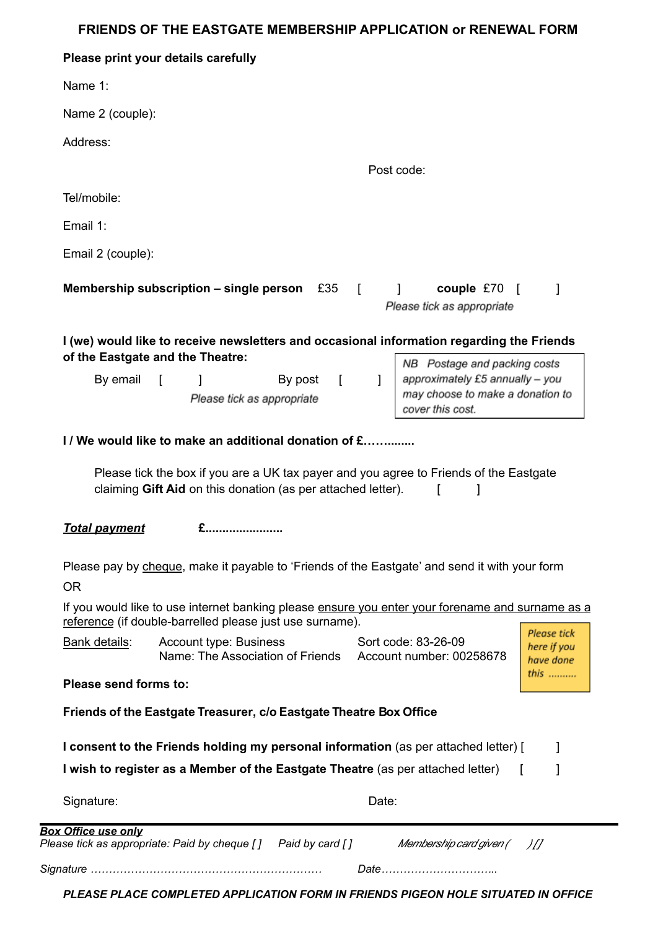### **FRIENDS OF THE EASTGATE MEMBERSHIP APPLICATION or RENEWAL FORM**

|                       | Please print your details carefully                                                                                 |         |            |                                                                                                                         |                                                        |
|-----------------------|---------------------------------------------------------------------------------------------------------------------|---------|------------|-------------------------------------------------------------------------------------------------------------------------|--------------------------------------------------------|
| Name 1:               |                                                                                                                     |         |            |                                                                                                                         |                                                        |
| Name 2 (couple):      |                                                                                                                     |         |            |                                                                                                                         |                                                        |
| Address:              |                                                                                                                     |         |            |                                                                                                                         |                                                        |
|                       |                                                                                                                     |         |            | Post code:                                                                                                              |                                                        |
| Tel/mobile:           |                                                                                                                     |         |            |                                                                                                                         |                                                        |
| Email 1:              |                                                                                                                     |         |            |                                                                                                                         |                                                        |
| Email 2 (couple):     |                                                                                                                     |         |            |                                                                                                                         |                                                        |
|                       | Membership subscription – single person $£35$ [ ]                                                                   |         |            | couple $£70$ [<br>Please tick as appropriate                                                                            | 1                                                      |
|                       | of the Eastgate and the Theatre:                                                                                    |         |            | I (we) would like to receive newsletters and occasional information regarding the Friends                               |                                                        |
| By email              | $\mathbf{1}$<br>$\Box$<br>Please tick as appropriate                                                                | By post | $\sqrt{2}$ | NB Postage and packing costs<br>approximately £5 annually - you<br>may choose to make a donation to<br>cover this cost. |                                                        |
|                       |                                                                                                                     |         |            |                                                                                                                         |                                                        |
|                       | I/We would like to make an additional donation of £<br>claiming Gift Aid on this donation (as per attached letter). |         |            | Please tick the box if you are a UK tax payer and you agree to Friends of the Eastgate                                  |                                                        |
| <b>Total payment</b>  | £                                                                                                                   |         |            |                                                                                                                         |                                                        |
| <b>OR</b>             |                                                                                                                     |         |            | Please pay by cheque, make it payable to 'Friends of the Eastgate' and send it with your form                           |                                                        |
|                       | reference (if double-barrelled please just use surname).                                                            |         |            | If you would like to use internet banking please ensure you enter your forename and surname as a                        |                                                        |
| Bank details:         | <b>Account type: Business</b>                                                                                       |         |            | Sort code: 83-26-09<br>Name: The Association of Friends Account number: 00258678                                        |                                                        |
| Please send forms to: |                                                                                                                     |         |            |                                                                                                                         |                                                        |
|                       | Friends of the Eastgate Treasurer, c/o Eastgate Theatre Box Office                                                  |         |            |                                                                                                                         |                                                        |
|                       | I wish to register as a Member of the Eastgate Theatre (as per attached letter)                                     |         |            | I consent to the Friends holding my personal information (as per attached letter) [                                     | 1                                                      |
| Signature:            |                                                                                                                     |         | Date:      |                                                                                                                         | Please tick<br>here if you<br>have done<br><i>this</i> |

*PLEASE PLACE COMPLETED APPLICATION FORM IN FRIENDS PIGEON HOLE SITUATED IN OFFICE*